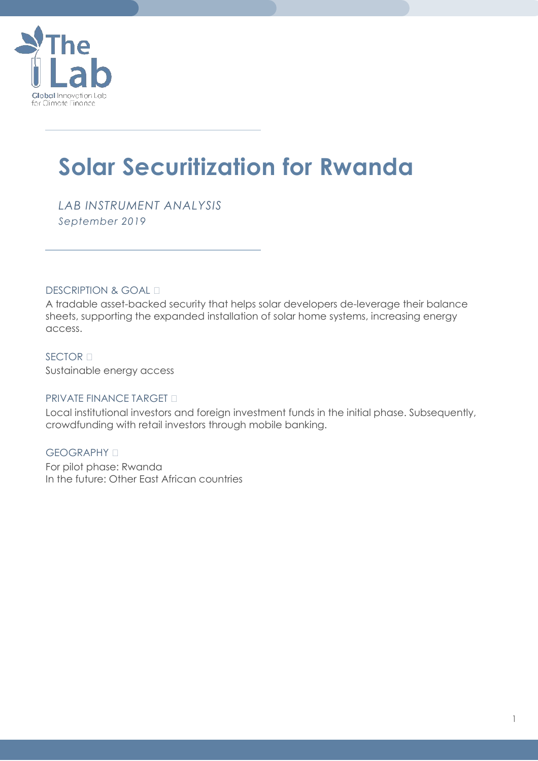

# **Solar Securitization for Rwanda**

*LAB INSTRUMENT ANALYSIS September 2019*

DESCRIPTION & GOAL —

A tradable asset-backed security that helps solar developers de-leverage their balance sheets, supporting the expanded installation of solar home systems, increasing energy access.

SECTOR — Sustainable energy access

### PRIVATE FINANCE TARGET —

Local institutional investors and foreign investment funds in the initial phase. Subsequently, crowdfunding with retail investors through mobile banking.

GEOGRAPHY — For pilot phase: Rwanda In the future: Other East African countries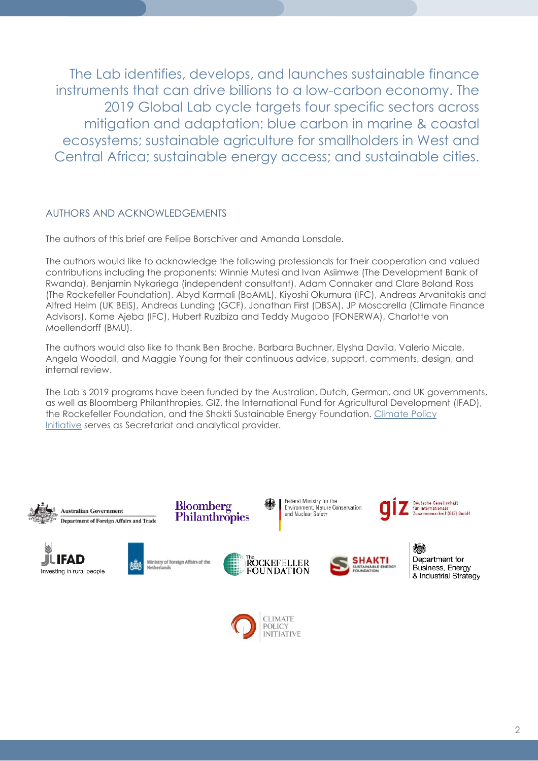The Lab identifies, develops, and launches sustainable finance instruments that can drive billions to a low-carbon economy. The 2019 Global Lab cycle targets four specific sectors across mitigation and adaptation: blue carbon in marine & coastal ecosystems; sustainable agriculture for smallholders in West and Central Africa; sustainable energy access; and sustainable cities.

### AUTHORS AND ACKNOWLEDGEMENTS

The authors of this brief are Felipe Borschiver and Amanda Lonsdale.

The authors would like to acknowledge the following professionals for their cooperation and valued contributions including the proponents: Winnie Mutesi and Ivan Asiimwe (The Development Bank of Rwanda), Benjamin Nykariega (independent consultant), Adam Connaker and Clare Boland Ross (The Rockefeller Foundation), Abyd Karmali (BoAML), Kiyoshi Okumura (IFC), Andreas Arvanitakis and Alfred Helm (UK BEIS), Andreas Lunding (GCF), Jonathan First (DBSA), JP Moscarella (Climate Finance Advisors), Kome Ajeba (IFC), Hubert Ruzibiza and Teddy Mugabo (FONERWA), Charlotte von Moellendorff (BMU).

The authors would also like to thank Ben Broche, Barbara Buchner, Elysha Davila, Valerio Micale, Angela Woodall, and Maggie Young for their continuous advice, support, comments, design, and internal review.

The Lab's 2019 programs have been funded by the Australian, Dutch, German, and UK governments, as well as Bloomberg Philanthropies, GIZ, the International Fund for Agricultural Development (IFAD), the Rockefeller Foundation, and the Shakti Sustainable Energy Foundation. [Climate Policy](https://climatepolicyinitiative.org/)  [Initiative](https://climatepolicyinitiative.org/) serves as Secretariat and analytical provider.

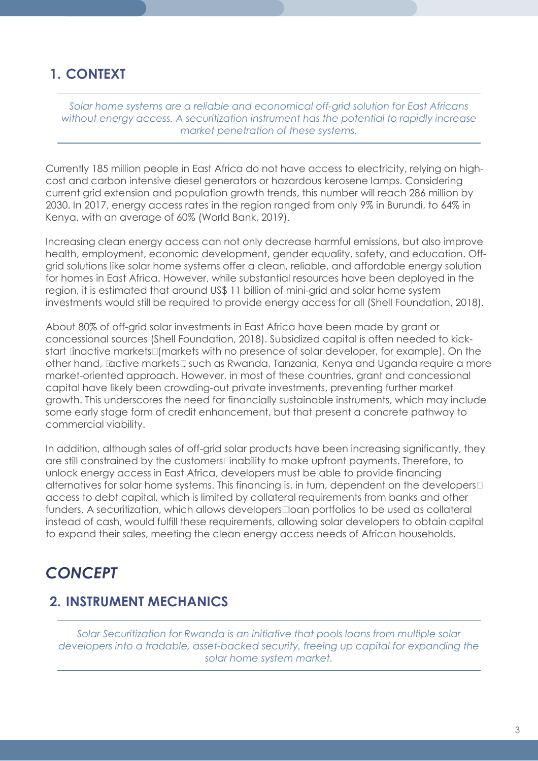### **1. CONTEXT**

*Solar home systems are a reliable and economical off-grid solution for East Africans without energy access. A securitization instrument has the potential to rapidly increase market penetration of these systems.*

Currently 185 million people in East Africa do not have access to electricity, relying on highcost and carbon intensive diesel generators or hazardous kerosene lamps. Considering current grid extension and population growth trends, this number will reach 286 million by 2030. In 2017, energy access rates in the region ranged from only 9% in Burundi, to 64% in Kenya, with an average of 60% (World Bank, 2019).

Increasing clean energy access can not only decrease harmful emissions, but also improve health, employment, economic development, gender equality, safety, and education. Offgrid solutions like solar home systems offer a clean, reliable, and affordable energy solution for homes in East Africa. However, while substantial resources have been deployed in the region, it is estimated that around US\$ 11 billion of mini-grid and solar home system investments would still be required to provide energy access for all (Shell Foundation, 2018).

About 80% of off-grid solar investments in East Africa have been made by grant or concessional sources (Shell Foundation, 2018). Subsidized capital is often needed to kickstart 'inactive markets' (markets with no presence of solar developer, for example). On the other hand, 'active markets', such as Rwanda, Tanzania, Kenya and Uganda require a more market-oriented approach. However, in most of these countries, grant and concessional capital have likely been crowding-out private investments, preventing further market growth. This underscores the need for financially sustainable instruments, which may include some early stage form of credit enhancement, but that present a concrete pathway to commercial viability.

In addition, although sales of off-grid solar products have been increasing significantly, they are still constrained by the customers' inability to make upfront payments. Therefore, to unlock energy access in East Africa, developers must be able to provide financing alternatives for solar home systems. This financing is, in turn, dependent on the developers' access to debt capital, which is limited by collateral requirements from banks and other funders. A securitization, which allows developers' loan portfolios to be used as collateral instead of cash, would fulfill these requirements, allowing solar developers to obtain capital to expand their sales, meeting the clean energy access needs of African households.

## *CONCEPT*

## **2. INSTRUMENT MECHANICS**

*Solar Securitization for Rwanda is an initiative that pools loans from multiple solar developers into a tradable, asset-backed security, freeing up capital for expanding the solar home system market.*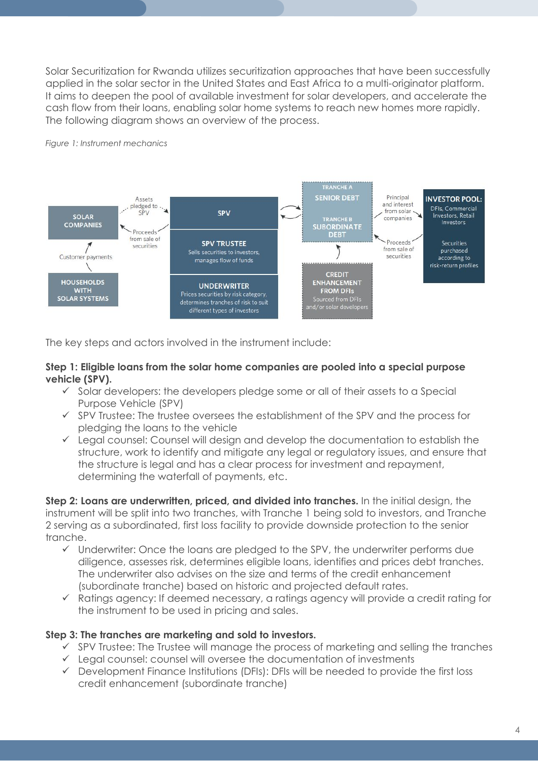Solar Securitization for Rwanda utilizes securitization approaches that have been successfully applied in the solar sector in the United States and East Africa to a multi-originator platform. It aims to deepen the pool of available investment for solar developers, and accelerate the cash flow from their loans, enabling solar home systems to reach new homes more rapidly. The following diagram shows an overview of the process.



### *Figure 1: Instrument mechanics*

The key steps and actors involved in the instrument include:

### **Step 1: Eligible loans from the solar home companies are pooled into a special purpose vehicle (SPV).**

- $\checkmark$  Solar developers: the developers pledge some or all of their assets to a Special Purpose Vehicle (SPV)
- $\checkmark$  SPV Trustee: The trustee oversees the establishment of the SPV and the process for pledging the loans to the vehicle
- $\checkmark$  Legal counsel: Counsel will design and develop the documentation to establish the structure, work to identify and mitigate any legal or regulatory issues, and ensure that the structure is legal and has a clear process for investment and repayment, determining the waterfall of payments, etc.

**Step 2: Loans are underwritten, priced, and divided into tranches.** In the initial design, the instrument will be split into two tranches, with Tranche 1 being sold to investors, and Tranche 2 serving as a subordinated, first loss facility to provide downside protection to the senior tranche.

- $\checkmark$  Underwriter: Once the loans are pledged to the SPV, the underwriter performs due diligence, assesses risk, determines eligible loans, identifies and prices debt tranches. The underwriter also advises on the size and terms of the credit enhancement (subordinate tranche) based on historic and projected default rates.
- $\checkmark$  Ratings agency: If deemed necessary, a ratings agency will provide a credit rating for the instrument to be used in pricing and sales.

### **Step 3: The tranches are marketing and sold to investors.**

- $\checkmark$  SPV Trustee: The Trustee will manage the process of marketing and selling the tranches
- $\checkmark$  Legal counsel: counsel will oversee the documentation of investments
- $\checkmark$  Development Finance Institutions (DFIs): DFIs will be needed to provide the first loss credit enhancement (subordinate tranche)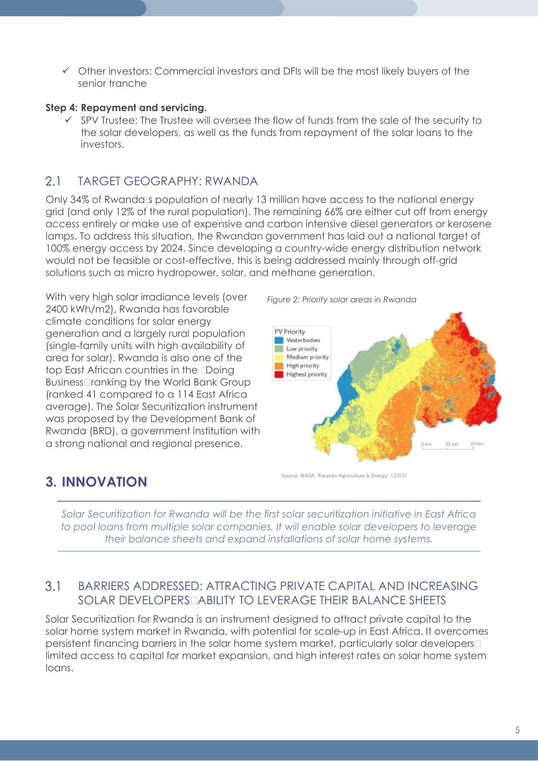$\checkmark$  Other investors: Commercial investors and DFIs will be the most likely buyers of the senior tranche

### **Step 4: Repayment and servicing.**

 $\checkmark$  SPV Trustee: The Trustee will oversee the flow of funds from the sale of the security to the solar developers, as well as the funds from repayment of the solar loans to the investors.

#### $2.1$ TARGET GEOGRAPHY: RWANDA

Only 34% of Rwanda's population of nearly 13 million have access to the national energy grid (and only 12% of the rural population). The remaining 66% are either cut off from energy access entirely or make use of expensive and carbon intensive diesel generators or kerosene lamps. To address this situation, the Rwandan government has laid out a national target of 100% energy access by 2024. Since developing a country-wide energy distribution network would not be feasible or cost-effective, this is being addressed mainly through off-grid solutions such as micro hydropower, solar, and methane generation.

With very high solar irradiance levels (over 2400 kWh/m2), Rwanda has favorable climate conditions for solar energy generation and a largely rural population (single-family units with high availability of area for solar). Rwanda is also one of the top East African countries in the "Doing Business" ranking by the World Bank Group (ranked 41 compared to a 114 East Africa average). The Solar Securitization instrument was proposed by the Development Bank of Rwanda (BRD), a government institution with a strong national and regional presence.





**3. INNOVATION** 

Source: NASA, 'Rwanda Agriculture & Energy'. (2013)

*Solar Securitization for Rwanda will be the first solar securitization initiative in East Africa to pool loans from multiple solar companies. It will enable solar developers to leverage their balance sheets and expand installations of solar home systems.*

#### $3.1$ BARRIERS ADDRESSED: ATTRACTING PRIVATE CAPITAL AND INCREASING SOLAR DEVELOPERS' ABILITY TO LEVERAGE THEIR BALANCE SHEETS

Solar Securitization for Rwanda is an instrument designed to attract private capital to the solar home system market in Rwanda, with potential for scale-up in East Africa. It overcomes persistent financing barriers in the solar home system market, particularly solar developers' limited access to capital for market expansion, and high interest rates on solar home system loans.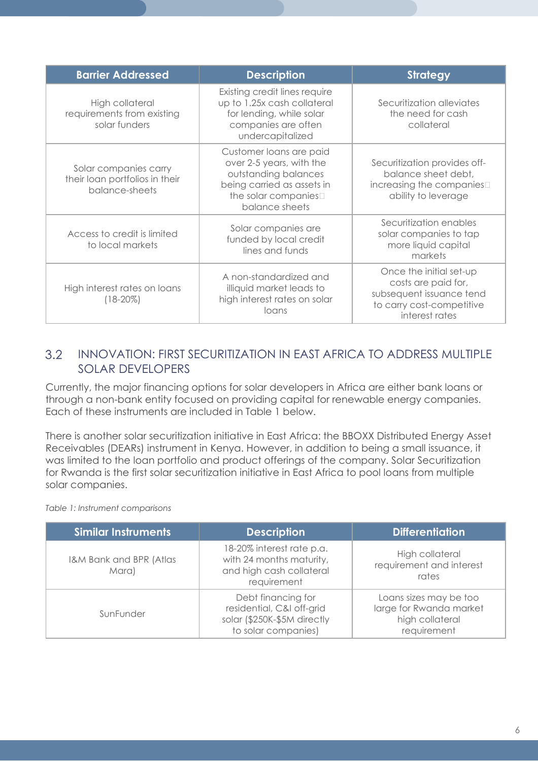| <b>Barrier Addressed</b>                                                  | <b>Description</b>                                                                                                                                  | <b>Strategy</b>                                                                                                           |
|---------------------------------------------------------------------------|-----------------------------------------------------------------------------------------------------------------------------------------------------|---------------------------------------------------------------------------------------------------------------------------|
| High collateral<br>requirements from existing<br>solar funders            | Existing credit lines require<br>up to 1.25x cash collateral<br>for lending, while solar<br>companies are often<br>undercapitalized                 | Securitization alleviates<br>the need for cash<br>collateral                                                              |
| Solar companies carry<br>their loan portfolios in their<br>balance-sheets | Customer loans are paid<br>over 2-5 years, with the<br>outstanding balances<br>being carried as assets in<br>the solar companies'<br>balance sheets | Securitization provides off-<br>balance sheet debt,<br>increasing the companies'<br>ability to leverage                   |
| Access to credit is limited<br>to local markets                           | Solar companies are<br>funded by local credit<br>lines and funds                                                                                    | Securitization enables<br>solar companies to tap<br>more liquid capital<br>markets                                        |
| High interest rates on loans<br>(18-20%)                                  | A non-standardized and<br>illiquid market leads to<br>high interest rates on solar<br>loans                                                         | Once the initial set-up<br>costs are paid for,<br>subsequent issuance tend<br>to carry cost-competitive<br>interest rates |

### $3.2$ INNOVATION: FIRST SECURITIZATION IN EAST AFRICA TO ADDRESS MULTIPLE SOLAR DEVELOPERS

Currently, the major financing options for solar developers in Africa are either bank loans or through a non-bank entity focused on providing capital for renewable energy companies. Each of these instruments are included in Table 1 below.

There is another solar securitization initiative in East Africa: the BBOXX Distributed Energy Asset Receivables (DEARs) instrument in Kenya. However, in addition to being a small issuance, it was limited to the loan portfolio and product offerings of the company. Solar Securitization for Rwanda is the first solar securitization initiative in East Africa to pool loans from multiple solar companies.

*Table 1: Instrument comparisons*

| <b>Similar Instruments</b>       | <b>Description</b>                                                                                    | <b>Differentiation</b>                                                              |
|----------------------------------|-------------------------------------------------------------------------------------------------------|-------------------------------------------------------------------------------------|
| I&M Bank and BPR (Atlas<br>Mara) | 18-20% interest rate p.a.<br>with 24 months maturity,<br>and high cash collateral<br>requirement      | High collateral<br>requirement and interest<br>rates                                |
| SunFunder                        | Debt financing for<br>residential, C&I off-grid<br>solar (\$250K-\$5M directly<br>to solar companies) | Loans sizes may be too<br>large for Rwanda market<br>high collateral<br>requirement |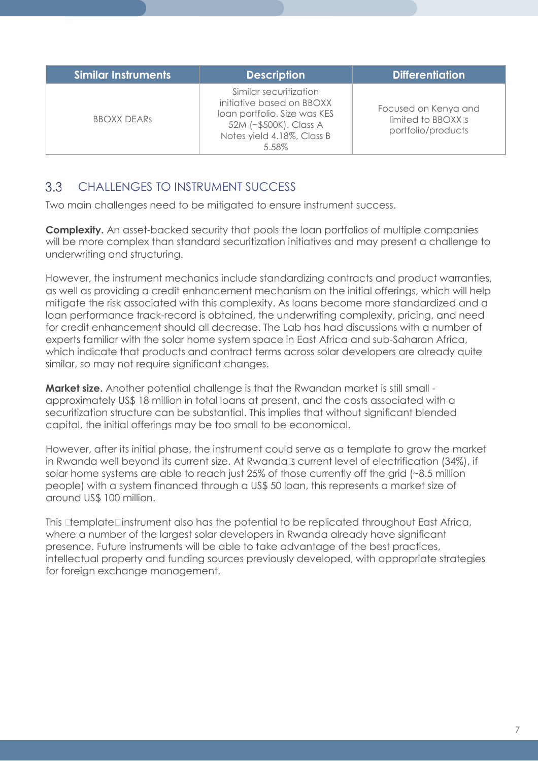| <b>Similar Instruments</b> | <b>Description</b>                                                                                                                                   | <b>Differentiation</b>                                           |
|----------------------------|------------------------------------------------------------------------------------------------------------------------------------------------------|------------------------------------------------------------------|
| <b>BBOXX DEARS</b>         | Similar securitization<br>initiative based on BBOXX<br>Ioan portfolio. Size was KES<br>52M (~\$500K). Class A<br>Notes yield 4.18%, Class B<br>5.58% | Focused on Kenya and<br>limited to BBOXX's<br>portfolio/products |

#### $3.3$ CHALLENGES TO INSTRUMENT SUCCESS

Two main challenges need to be mitigated to ensure instrument success.

**Complexity.** An asset-backed security that pools the loan portfolios of multiple companies will be more complex than standard securitization initiatives and may present a challenge to underwriting and structuring.

However, the instrument mechanics include standardizing contracts and product warranties, as well as providing a credit enhancement mechanism on the initial offerings, which will help mitigate the risk associated with this complexity. As loans become more standardized and a loan performance track-record is obtained, the underwriting complexity, pricing, and need for credit enhancement should all decrease. The Lab has had discussions with a number of experts familiar with the solar home system space in East Africa and sub-Saharan Africa, which indicate that products and contract terms across solar developers are already quite similar, so may not require significant changes.

**Market size.** Another potential challenge is that the Rwandan market is still small approximately US\$ 18 million in total loans at present, and the costs associated with a securitization structure can be substantial. This implies that without significant blended capital, the initial offerings may be too small to be economical.

However, after its initial phase, the instrument could serve as a template to grow the market in Rwanda well beyond its current size. At Rwanda's current level of electrification (34%), if solar home systems are able to reach just 25% of those currently off the grid (~8.5 million people) with a system financed through a US\$ 50 loan, this represents a market size of around US\$ 100 million.

This "template" instrument also has the potential to be replicated throughout East Africa, where a number of the largest solar developers in Rwanda already have significant presence. Future instruments will be able to take advantage of the best practices, intellectual property and funding sources previously developed, with appropriate strategies for foreign exchange management.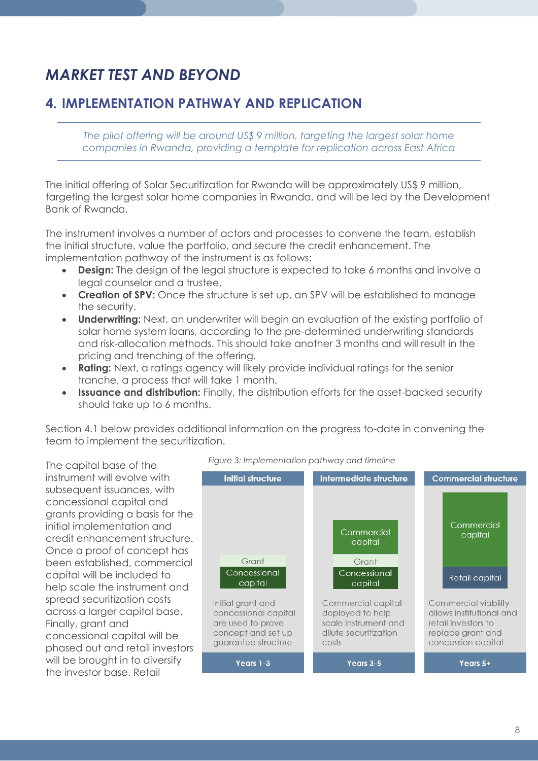## *MARKET TEST AND BEYOND*

## **4. IMPLEMENTATION PATHWAY AND REPLICATION**

*The pilot offering will be around US\$ 9 million, targeting the largest solar home companies in Rwanda, providing a template for replication across East Africa*

The initial offering of Solar Securitization for Rwanda will be approximately US\$ 9 million, targeting the largest solar home companies in Rwanda, and will be led by the Development Bank of Rwanda.

The instrument involves a number of actors and processes to convene the team, establish the initial structure, value the portfolio, and secure the credit enhancement. The implementation pathway of the instrument is as follows:

- **Design:** The design of the legal structure is expected to take 6 months and involve a legal counselor and a trustee.
- **Creation of SPV:** Once the structure is set up, an SPV will be established to manage the security.
- **Underwriting:** Next, an underwriter will begin an evaluation of the existing portfolio of solar home system loans, according to the pre-determined underwriting standards and risk-allocation methods. This should take another 3 months and will result in the pricing and trenching of the offering.
- **Rating:** Next, a ratings agency will likely provide individual ratings for the senior tranche, a process that will take 1 month.
- **Issuance and distribution:** Finally, the distribution efforts for the asset-backed security should take up to 6 months.

Section 4.1 below provides additional information on the progress to-date in convening the team to implement the securitization.



### *Figure 3: Implementation pathway and timeline*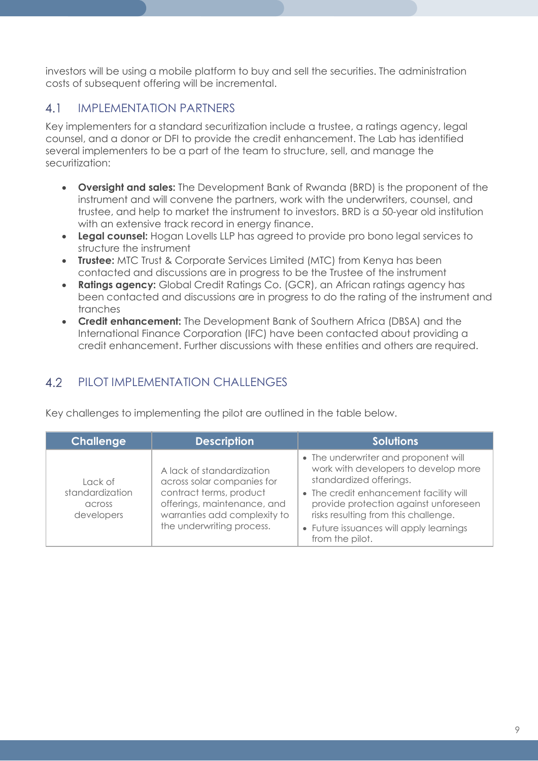investors will be using a mobile platform to buy and sell the securities. The administration costs of subsequent offering will be incremental.

#### IMPLEMENTATION PARTNERS  $4.1$

Key implementers for a standard securitization include a trustee, a ratings agency, legal counsel, and a donor or DFI to provide the credit enhancement. The Lab has identified several implementers to be a part of the team to structure, sell, and manage the securitization:

- **Oversight and sales:** The Development Bank of Rwanda (BRD) is the proponent of the instrument and will convene the partners, work with the underwriters, counsel, and trustee, and help to market the instrument to investors. BRD is a 50-year old institution with an extensive track record in energy finance.
- **Legal counsel:** Hogan Lovells LLP has agreed to provide pro bono legal services to structure the instrument
- **Trustee:** MTC Trust & Corporate Services Limited (MTC) from Kenya has been contacted and discussions are in progress to be the Trustee of the instrument
- **Ratings agency:** Global Credit Ratings Co. (GCR), an African ratings agency has been contacted and discussions are in progress to do the rating of the instrument and tranches
- **Credit enhancement:** The Development Bank of Southern Africa (DBSA) and the International Finance Corporation (IFC) have been contacted about providing a credit enhancement. Further discussions with these entities and others are required.

#### $4.2$ PILOT IMPLEMENTATION CHALLENGES

Key challenges to implementing the pilot are outlined in the table below.

| <b>Challenge</b>                                   | <b>Description</b>                                                                                                                                                             | <b>Solutions</b>                                                                                                                                                                                                                                                                                 |
|----------------------------------------------------|--------------------------------------------------------------------------------------------------------------------------------------------------------------------------------|--------------------------------------------------------------------------------------------------------------------------------------------------------------------------------------------------------------------------------------------------------------------------------------------------|
| Lack of<br>standardization<br>across<br>developers | A lack of standardization<br>across solar companies for<br>contract terms, product<br>offerings, maintenance, and<br>warranties add complexity to<br>the underwriting process. | • The underwriter and proponent will<br>work with developers to develop more<br>standardized offerings.<br>• The credit enhancement facility will<br>provide protection against unforeseen<br>risks resulting from this challenge.<br>• Future issuances will apply learnings<br>from the pilot. |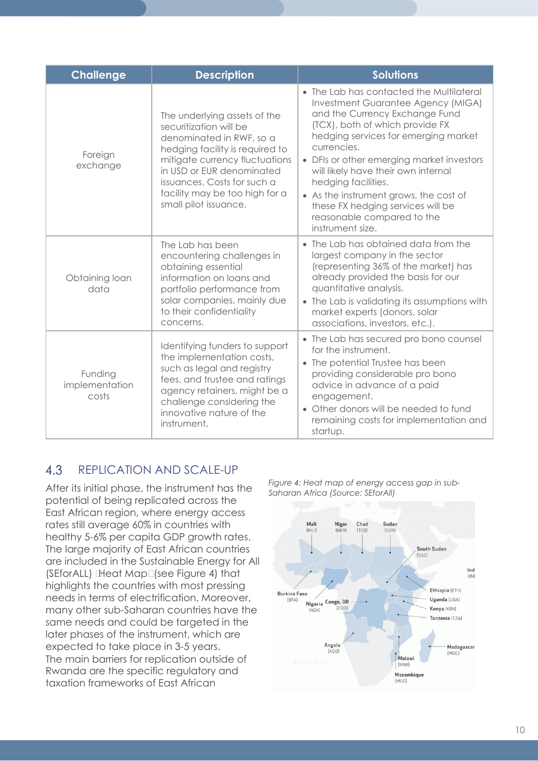| <b>Challenge</b>                   | <b>Description</b>                                                                                                                                                                                                                                                             | <b>Solutions</b>                                                                                                                                                                                                                                                                                                                                                                                                                                       |
|------------------------------------|--------------------------------------------------------------------------------------------------------------------------------------------------------------------------------------------------------------------------------------------------------------------------------|--------------------------------------------------------------------------------------------------------------------------------------------------------------------------------------------------------------------------------------------------------------------------------------------------------------------------------------------------------------------------------------------------------------------------------------------------------|
| Foreign<br>exchange                | The underlying assets of the<br>securitization will be<br>denominated in RWF, so a<br>hedging facility is required to<br>mitigate currency fluctuations<br>in USD or EUR denominated<br>issuances. Costs for such a<br>facility may be too high for a<br>small pilot issuance. | • The Lab has contacted the Multilateral<br>Investment Guarantee Agency (MIGA)<br>and the Currency Exchange Fund<br>(TCX), both of which provide FX<br>hedging services for emerging market<br>currencies.<br>• DFIs or other emerging market investors<br>will likely have their own internal<br>hedging facilities.<br>• As the instrument grows, the cost of<br>these FX hedging services will be<br>reasonable compared to the<br>instrument size. |
| Obtaining loan<br>data             | The Lab has been<br>encountering challenges in<br>obtaining essential<br>information on loans and<br>portfolio performance from<br>solar companies, mainly due<br>to their confidentiality<br>concerns.                                                                        | • The Lab has obtained data from the<br>largest company in the sector<br>(representing 36% of the market) has<br>already provided the basis for our<br>quantitative analysis.<br>• The Lab is validating its assumptions with<br>market experts (donors, solar<br>associations, investors, etc.).                                                                                                                                                      |
| Funding<br>implementation<br>costs | Identifying funders to support<br>the implementation costs,<br>such as legal and registry<br>fees, and trustee and ratings<br>agency retainers, might be a<br>challenge considering the<br>innovative nature of the<br>instrument.                                             | • The Lab has secured pro bono counsel<br>for the instrument.<br>• The potential Trustee has been<br>providing considerable pro bono<br>advice in advance of a paid<br>engagement.<br>• Other donors will be needed to fund<br>remaining costs for implementation and<br>startup.                                                                                                                                                                      |

#### 4.3 REPLICATION AND SCALE-UP

After its initial phase, the instrument has the potential of being replicated across the East African region, where energy access rates still average 60% in countries with healthy 5-6% per capita GDP growth rates. The large majority of East African countries are included in the Sustainable Energy for All (SEforALL) 'Heat Map' (see Figure 4) that highlights the countries with most pressing needs in terms of electrification. Moreover, many other sub-Saharan countries have the same needs and could be targeted in the later phases of the instrument, which are expected to take place in 3-5 years. The main barriers for replication outside of Rwanda are the specific regulatory and taxation frameworks of East African

*Figure 4: Heat map of energy access gap in sub-Saharan Africa (Source: SEforAll)*

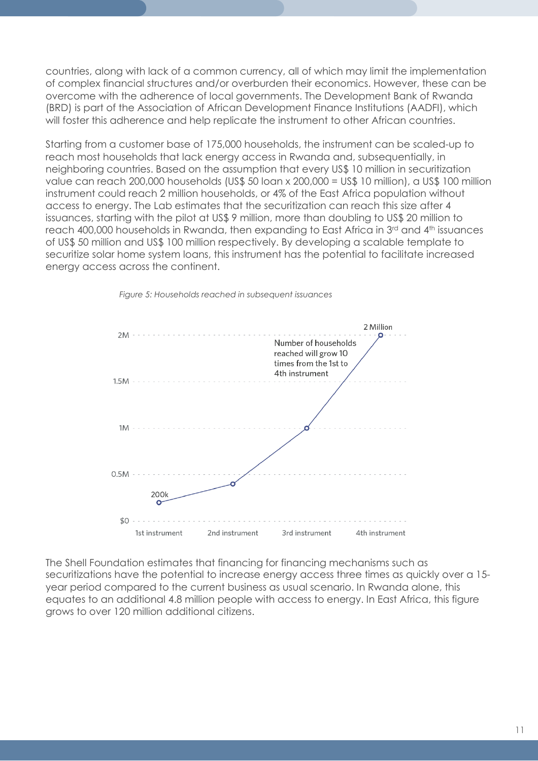countries, along with lack of a common currency, all of which may limit the implementation of complex financial structures and/or overburden their economics. However, these can be overcome with the adherence of local governments. The Development Bank of Rwanda (BRD) is part of the Association of African Development Finance Institutions (AADFI), which will foster this adherence and help replicate the instrument to other African countries.

Starting from a customer base of 175,000 households, the instrument can be scaled-up to reach most households that lack energy access in Rwanda and, subsequentially, in neighboring countries. Based on the assumption that every US\$ 10 million in securitization value can reach 200,000 households (US\$ 50 loan x 200,000 = US\$ 10 million), a US\$ 100 million instrument could reach 2 million households, or 4% of the East Africa population without access to energy. The Lab estimates that the securitization can reach this size after 4 issuances, starting with the pilot at US\$ 9 million, more than doubling to US\$ 20 million to reach 400,000 households in Rwanda, then expanding to East Africa in 3<sup>rd</sup> and 4<sup>th</sup> issuances of US\$ 50 million and US\$ 100 million respectively. By developing a scalable template to securitize solar home system loans, this instrument has the potential to facilitate increased energy access across the continent.



*Figure 5: Households reached in subsequent issuances*

The Shell Foundation estimates that financing for financing mechanisms such as securitizations have the potential to increase energy access three times as quickly over a 15 year period compared to the current business as usual scenario. In Rwanda alone, this equates to an additional 4.8 million people with access to energy. In East Africa, this figure grows to over 120 million additional citizens.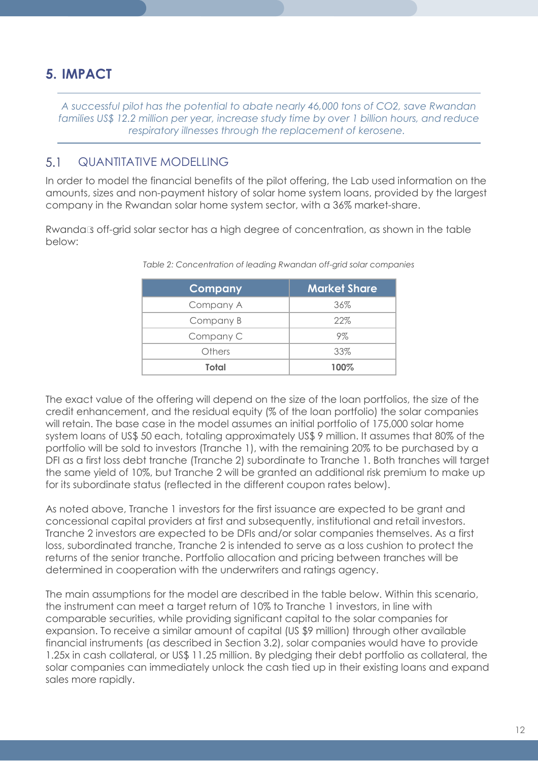## **5. IMPACT**

*A successful pilot has the potential to abate nearly 46,000 tons of CO2, save Rwandan families US\$ 12.2 million per year, increase study time by over 1 billion hours, and reduce respiratory illnesses through the replacement of kerosene.*

#### $5.1$ QUANTITATIVE MODELLING

In order to model the financial benefits of the pilot offering, the Lab used information on the amounts, sizes and non-payment history of solar home system loans, provided by the largest company in the Rwandan solar home system sector, with a 36% market-share.

Rwanda's off-grid solar sector has a high degree of concentration, as shown in the table below:

| Company   | <b>Market Share</b> |
|-----------|---------------------|
| Company A | 36%                 |
| Company B | 22%                 |
| Company C | 9%                  |
| Others    | 33%                 |
| Total     | 100%                |

*Table 2: Concentration of leading Rwandan off-grid solar companies*

The exact value of the offering will depend on the size of the loan portfolios, the size of the credit enhancement, and the residual equity (% of the loan portfolio) the solar companies will retain. The base case in the model assumes an initial portfolio of 175,000 solar home system loans of US\$ 50 each, totaling approximately US\$ 9 million. It assumes that 80% of the portfolio will be sold to investors (Tranche 1), with the remaining 20% to be purchased by a DFI as a first loss debt tranche (Tranche 2) subordinate to Tranche 1. Both tranches will target the same yield of 10%, but Tranche 2 will be granted an additional risk premium to make up for its subordinate status (reflected in the different coupon rates below).

As noted above, Tranche 1 investors for the first issuance are expected to be grant and concessional capital providers at first and subsequently, institutional and retail investors. Tranche 2 investors are expected to be DFIs and/or solar companies themselves. As a first loss, subordinated tranche, Tranche 2 is intended to serve as a loss cushion to protect the returns of the senior tranche. Portfolio allocation and pricing between tranches will be determined in cooperation with the underwriters and ratings agency.

The main assumptions for the model are described in the table below. Within this scenario, the instrument can meet a target return of 10% to Tranche 1 investors, in line with comparable securities, while providing significant capital to the solar companies for expansion. To receive a similar amount of capital (US \$9 million) through other available financial instruments (as described in Section 3.2), solar companies would have to provide 1.25x in cash collateral, or US\$ 11.25 million. By pledging their debt portfolio as collateral, the solar companies can immediately unlock the cash tied up in their existing loans and expand sales more rapidly.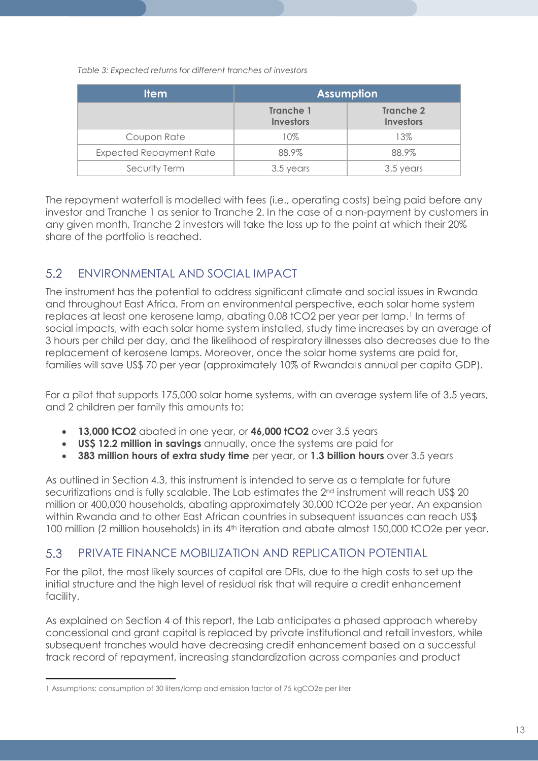*Table 3: Expected returns for different tranches of investors*

| <b>Item</b>                    | <b>Assumption</b>                    |                               |
|--------------------------------|--------------------------------------|-------------------------------|
|                                | <b>Tranche 1</b><br><b>Investors</b> | Tranche 2<br><b>Investors</b> |
| Coupon Rate                    | 10%                                  | 13%                           |
| <b>Expected Repayment Rate</b> | 88.9%                                | 88.9%                         |
| Security Term                  | 3.5 years                            | 3.5 years                     |

The repayment waterfall is modelled with fees (i.e., operating costs) being paid before any investor and Tranche 1 as senior to Tranche 2. In the case of a non-payment by customers in any given month, Tranche 2 investors will take the loss up to the point at which their 20% share of the portfolio is reached.

#### 5.2 ENVIRONMENTAL AND SOCIAL IMPACT

The instrument has the potential to address significant climate and social issues in Rwanda and throughout East Africa. From an environmental perspective, each solar home system replaces at least one kerosene lamp, abating 0.08 tCO2 per year per lamp.<sup>[1](#page-12-0)</sup> In terms of social impacts, with each solar home system installed, study time increases by an average of 3 hours per child per day, and the likelihood of respiratory illnesses also decreases due to the replacement of kerosene lamps. Moreover, once the solar home systems are paid for, families will save US\$ 70 per year (approximately 10% of Rwanda's annual per capita GDP).

For a pilot that supports 175,000 solar home systems, with an average system life of 3.5 years, and 2 children per family this amounts to:

- **13,000 tCO2** abated in one year, or **46,000 tCO2** over 3.5 years
- **US\$ 12.2 million in savings** annually, once the systems are paid for
- **383 million hours of extra study time** per year, or **1.3 billion hours** over 3.5 years

As outlined in Section 4.3, this instrument is intended to serve as a template for future securitizations and is fully scalable. The Lab estimates the 2<sup>nd</sup> instrument will reach US\$ 20 million or 400,000 households, abating approximately 30,000 tCO2e per year. An expansion within Rwanda and to other East African countries in subsequent issuances can reach US\$ 100 million (2 million households) in its 4<sup>th</sup> iteration and abate almost 150,000 tCO2e per year.

#### 5.3 PRIVATE FINANCE MOBILIZATION AND REPLICATION POTENTIAL

For the pilot, the most likely sources of capital are DFIs, due to the high costs to set up the initial structure and the high level of residual risk that will require a credit enhancement facility.

As explained on Section 4 of this report, the Lab anticipates a phased approach whereby concessional and grant capital is replaced by private institutional and retail investors, while subsequent tranches would have decreasing credit enhancement based on a successful track record of repayment, increasing standardization across companies and product

<span id="page-12-0"></span> $\overline{a}$ 1 Assumptions: consumption of 30 liters/lamp and emission factor of 75 kgCO2e per liter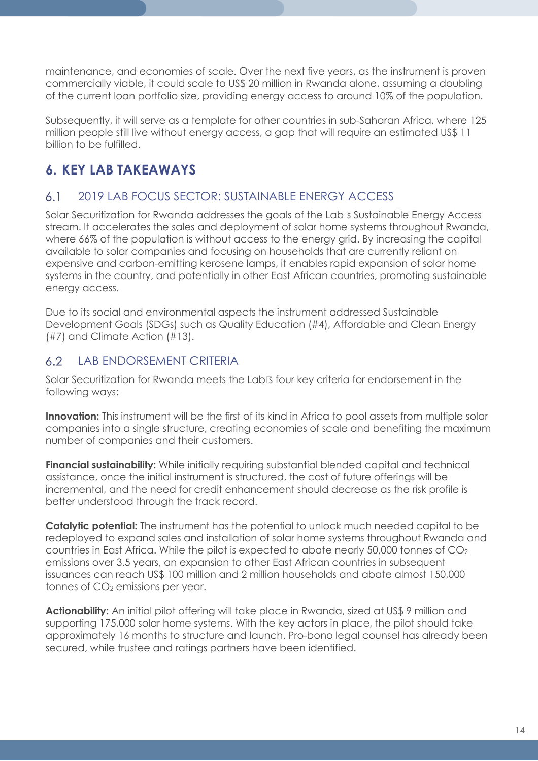maintenance, and economies of scale. Over the next five years, as the instrument is proven commercially viable, it could scale to US\$ 20 million in Rwanda alone, assuming a doubling of the current loan portfolio size, providing energy access to around 10% of the population.

Subsequently, it will serve as a template for other countries in sub-Saharan Africa, where 125 million people still live without energy access, a gap that will require an estimated US\$ 11 billion to be fulfilled.

## **6. KEY LAB TAKEAWAYS**

#### 2019 LAB FOCUS SECTOR: SUSTAINABLE ENERGY ACCESS  $6.1$

Solar Securitization for Rwanda addresses the goals of the Lab's Sustainable Energy Access stream. It accelerates the sales and deployment of solar home systems throughout Rwanda, where 66% of the population is without access to the energy grid. By increasing the capital available to solar companies and focusing on households that are currently reliant on expensive and carbon-emitting kerosene lamps, it enables rapid expansion of solar home systems in the country, and potentially in other East African countries, promoting sustainable energy access.

Due to its social and environmental aspects the instrument addressed Sustainable Development Goals (SDGs) such as Quality Education (#4), Affordable and Clean Energy (#7) and Climate Action (#13).

#### $6.2$ LAB ENDORSEMENT CRITERIA

Solar Securitization for Rwanda meets the Lab's four key criteria for endorsement in the following ways:

**Innovation:** This instrument will be the first of its kind in Africa to pool assets from multiple solar companies into a single structure, creating economies of scale and benefiting the maximum number of companies and their customers.

**Financial sustainability:** While initially requiring substantial blended capital and technical assistance, once the initial instrument is structured, the cost of future offerings will be incremental, and the need for credit enhancement should decrease as the risk profile is better understood through the track record.

**Catalytic potential:** The instrument has the potential to unlock much needed capital to be redeployed to expand sales and installation of solar home systems throughout Rwanda and countries in East Africa. While the pilot is expected to abate nearly 50,000 tonnes of CO2 emissions over 3.5 years, an expansion to other East African countries in subsequent issuances can reach US\$ 100 million and 2 million households and abate almost 150,000 tonnes of CO<sub>2</sub> emissions per year.

Actionability: An initial pilot offering will take place in Rwanda, sized at US\$ 9 million and supporting 175,000 solar home systems. With the key actors in place, the pilot should take approximately 16 months to structure and launch. Pro-bono legal counsel has already been secured, while trustee and ratings partners have been identified.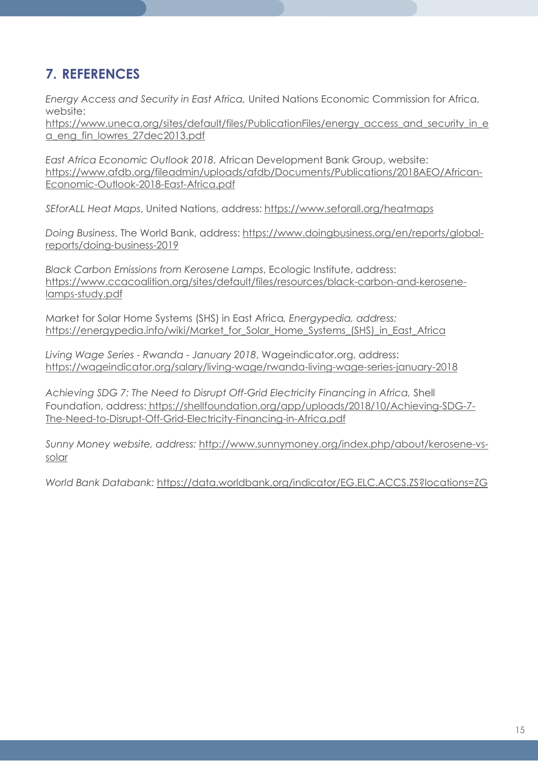## **7. REFERENCES**

*Energy Access and Security in East Africa,* United Nations Economic Commission for Africa, website:

[https://www.uneca.org/sites/default/files/PublicationFiles/energy\\_access\\_and\\_security\\_in\\_e](https://www.uneca.org/sites/default/files/PublicationFiles/energy_access_and_security_in_ea_eng_fin_lowres_27dec2013.pdf) [a\\_eng\\_fin\\_lowres\\_27dec2013.pdf](https://www.uneca.org/sites/default/files/PublicationFiles/energy_access_and_security_in_ea_eng_fin_lowres_27dec2013.pdf)

*East Africa Economic Outlook 2018*, African Development Bank Group, website: [https://www.afdb.org/fileadmin/uploads/afdb/Documents/Publications/2018AEO/African-](https://www.afdb.org/fileadmin/uploads/afdb/Documents/Publications/2018AEO/African-Economic-Outlook-2018-East-Africa.pdf)[Economic-Outlook-2018-East-Africa.pdf](https://www.afdb.org/fileadmin/uploads/afdb/Documents/Publications/2018AEO/African-Economic-Outlook-2018-East-Africa.pdf)

*SEforALL Heat Maps*, United Nations, address:<https://www.seforall.org/heatmaps>

*Doing Business*, The World Bank, address: [https://www.doingbusiness.org/en/reports/global](https://www.doingbusiness.org/en/reports/global-reports/doing-business-2019)[reports/doing-business-2019](https://www.doingbusiness.org/en/reports/global-reports/doing-business-2019)

*Black Carbon Emissions from Kerosene Lamps*, Ecologic Institute, address: [https://www.ccacoalition.org/sites/default/files/resources/black-carbon-and-kerosene](https://www.ccacoalition.org/sites/default/files/resources/black-carbon-and-kerosene-lamps-study.pdf)[lamps-study.pdf](https://www.ccacoalition.org/sites/default/files/resources/black-carbon-and-kerosene-lamps-study.pdf)

Market for Solar Home Systems (SHS) in East Africa*, Energypedia, address:* [https://energypedia.info/wiki/Market\\_for\\_Solar\\_Home\\_Systems\\_\(SHS\)\\_in\\_East\\_Africa](https://energypedia.info/wiki/Market_for_Solar_Home_Systems_(SHS)_in_East_Africa)

*Living Wage Series - Rwanda - January 2018*, Wageindicator.org, address: <https://wageindicator.org/salary/living-wage/rwanda-living-wage-series-january-2018>

*Achieving SDG 7: The Need to Disrupt Off-Grid Electricity Financing in Africa,* Shell Foundation, address: [https://shellfoundation.org/app/uploads/2018/10/Achieving-SDG-7-](https://shellfoundation.org/app/uploads/2018/10/Achieving-SDG-7-The-Need-to-Disrupt-Off-Grid-Electricity-Financing-in-Africa.pdf) [The-Need-to-Disrupt-Off-Grid-Electricity-Financing-in-Africa.pdf](https://shellfoundation.org/app/uploads/2018/10/Achieving-SDG-7-The-Need-to-Disrupt-Off-Grid-Electricity-Financing-in-Africa.pdf)

*Sunny Money website, address:* [http://www.sunnymoney.org/index.php/about/kerosene-vs](http://www.sunnymoney.org/index.php/about/kerosene-vs-solar)[solar](http://www.sunnymoney.org/index.php/about/kerosene-vs-solar)

*World Bank Databank:* [https://data.worldbank.org/indicator/EG.ELC.ACCS.ZS?locations=Z](https://data.worldbank.org/indicator/EG.ELC.ACCS.ZS?locations=)G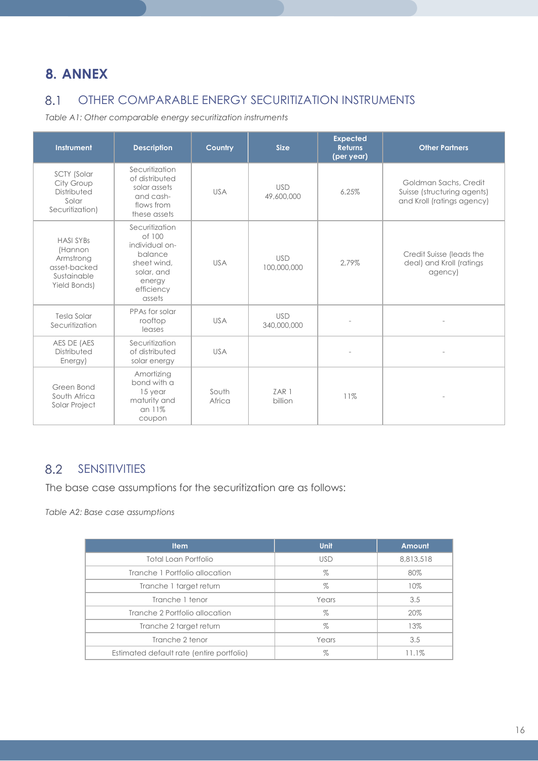## **8. ANNEX**

#### OTHER COMPARABLE ENERGY SECURITIZATION INSTRUMENTS 8.1

*Table A1: Other comparable energy securitization instruments*

| <b>Instrument</b>                                                                       | <b>Description</b>                                                                                                   | Country         | <b>Size</b>               | <b>Expected</b><br><b>Returns</b><br>(per year) | <b>Other Partners</b>                                                              |
|-----------------------------------------------------------------------------------------|----------------------------------------------------------------------------------------------------------------------|-----------------|---------------------------|-------------------------------------------------|------------------------------------------------------------------------------------|
| SCTY (Solar<br>City Group<br>Distributed<br>Solar<br>Securitization)                    | Securitization<br>of distributed<br>solar assets<br>and cash-<br>flows from<br>these assets                          | <b>USA</b>      | <b>USD</b><br>49,600,000  | 6.25%                                           | Goldman Sachs, Credit<br>Suisse (structuring agents)<br>and Kroll (ratings agency) |
| <b>HASI SYBs</b><br>(Hannon<br>Armstrong<br>asset-backed<br>Sustainable<br>Yield Bonds) | Securitization<br>of 100<br>individual on-<br>balance<br>sheet wind,<br>solar, and<br>energy<br>efficiency<br>assets | <b>USA</b>      | <b>USD</b><br>100,000,000 | 2.79%                                           | Credit Suisse (leads the<br>deal) and Kroll (ratings<br>agency)                    |
| Tesla Solar<br>Securitization                                                           | PPAs for solar<br>rooftop<br>leases                                                                                  | <b>USA</b>      | <b>USD</b><br>340,000,000 |                                                 |                                                                                    |
| AES DE (AES<br>Distributed<br>Energy)                                                   | Securitization<br>of distributed<br>solar energy                                                                     | <b>USA</b>      |                           |                                                 |                                                                                    |
| Green Bond<br>South Africa<br>Solar Project                                             | Amortizing<br>bond with a<br>15 year<br>maturity and<br>$an 11\%$<br>coupon                                          | South<br>Africa | ZAR 1<br>billion          | 11%                                             |                                                                                    |

#### 8.2 SENSITIVITIES

The base case assumptions for the securitization are as follows:

*Table A2: Base case assumptions*

| <b>Item</b>                               | <b>Unit</b> | Amount    |
|-------------------------------------------|-------------|-----------|
| Total Loan Portfolio                      | <b>USD</b>  | 8,813,518 |
| Tranche 1 Portfolio allocation            | $\%$        | 80%       |
| Tranche 1 target return                   | %           | 10%       |
| Tranche 1 tenor                           | Years       | 3.5       |
| Tranche 2 Portfolio allocation            | %           | 20%       |
| Tranche 2 target return                   | $\%$        | 13%       |
| Tranche 2 tenor                           | Years       | 3.5       |
| Estimated default rate (entire portfolio) | $\%$        | 11.1%     |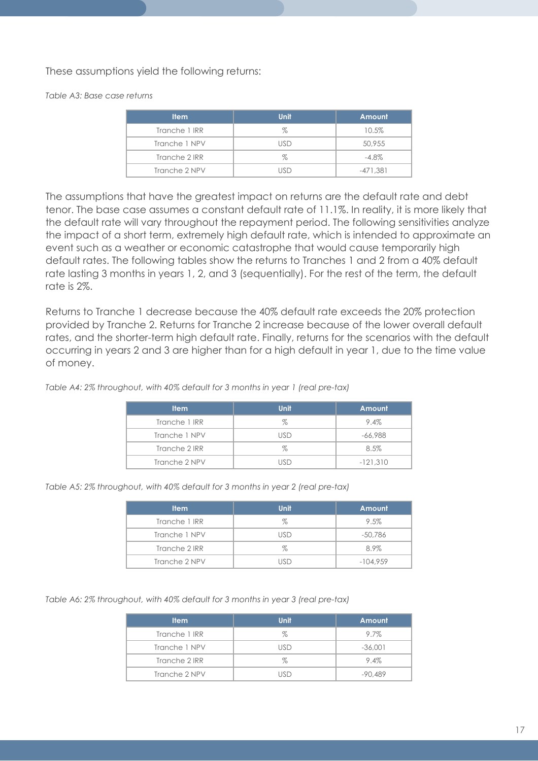These assumptions yield the following returns:

*Table A3: Base case returns*

| <b>Item</b>   | <b>Unit</b> | Amount     |
|---------------|-------------|------------|
| Tranche 1 IRR | %           | 10.5%      |
| Tranche 1 NPV | lisd        | 50,955     |
| Tranche 2 IRR | %           | $-4.8\%$   |
| Tranche 2 NPV |             | $-471.381$ |

The assumptions that have the greatest impact on returns are the default rate and debt tenor. The base case assumes a constant default rate of 11.1%. In reality, it is more likely that the default rate will vary throughout the repayment period. The following sensitivities analyze the impact of a short term, extremely high default rate, which is intended to approximate an event such as a weather or economic catastrophe that would cause temporarily high default rates. The following tables show the returns to Tranches 1 and 2 from a 40% default rate lasting 3 months in years 1, 2, and 3 (sequentially). For the rest of the term, the default rate is 2%.

Returns to Tranche 1 decrease because the 40% default rate exceeds the 20% protection provided by Tranche 2. Returns for Tranche 2 increase because of the lower overall default rates, and the shorter-term high default rate. Finally, returns for the scenarios with the default occurring in years 2 and 3 are higher than for a high default in year 1, due to the time value of money.

*Table A4: 2% throughout, with 40% default for 3 months in year 1 (real pre-tax)*

| <b>Item</b>   | <b>Unit</b>    | <b>Amount</b> |
|---------------|----------------|---------------|
| Tranche 1 IRR | %              | 9.4%          |
| Tranche 1 NPV | lisd           | $-66.988$     |
| Tranche 2 IRR | %              | 8.5%          |
| Tranche 2 NPV | $\overline{1}$ | $-121,310$    |

*Table A5: 2% throughout, with 40% default for 3 months in year 2 (real pre-tax)*

| <b>Item</b>   | <b>Unit</b> | Amount     |
|---------------|-------------|------------|
| Tranche 1 IRR | %           | 9.5%       |
| Tranche 1 NPV | ISD         | -50,786    |
| Tranche 2 IRR | %           | 8.9%       |
| Tranche 2 NPV |             | $-104.959$ |

*Table A6: 2% throughout, with 40% default for 3 months in year 3 (real pre-tax)*

| <b>Item</b>   | <b>Unit</b> | Amount    |
|---------------|-------------|-----------|
| Tranche 1 IRR | %           | 9.7%      |
| Tranche 1 NPV | <b>USD</b>  | $-36.001$ |
| Tranche 2 IRR | %           | 9.4%      |
| Tranche 2 NPV | lisd        | $-90.489$ |